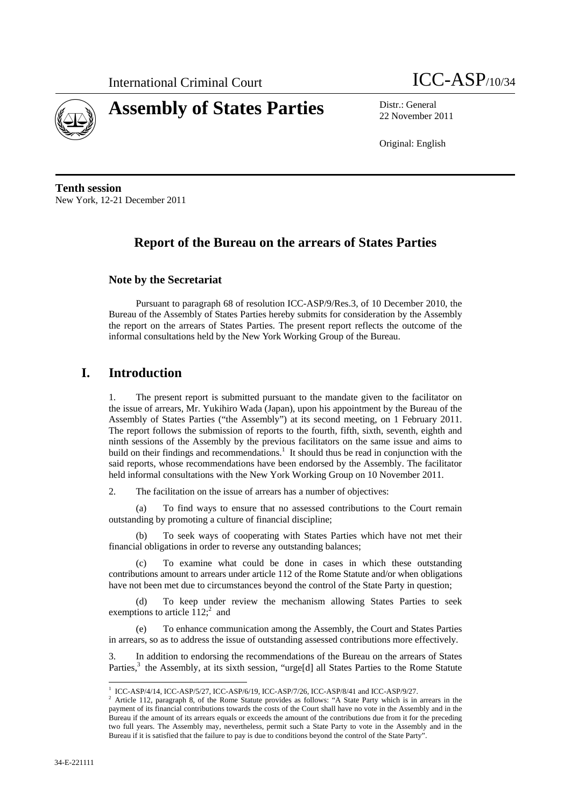



22 November 2011

Original: English

**Tenth session**  New York, 12-21 December 2011

# **Report of the Bureau on the arrears of States Parties**

#### **Note by the Secretariat**

Pursuant to paragraph 68 of resolution ICC-ASP/9/Res.3, of 10 December 2010, the Bureau of the Assembly of States Parties hereby submits for consideration by the Assembly the report on the arrears of States Parties. The present report reflects the outcome of the informal consultations held by the New York Working Group of the Bureau.

## **I. Introduction**

1. The present report is submitted pursuant to the mandate given to the facilitator on the issue of arrears, Mr. Yukihiro Wada (Japan), upon his appointment by the Bureau of the Assembly of States Parties ("the Assembly") at its second meeting, on 1 February 2011. The report follows the submission of reports to the fourth, fifth, sixth, seventh, eighth and ninth sessions of the Assembly by the previous facilitators on the same issue and aims to build on their findings and recommendations.<sup>1</sup> It should thus be read in conjunction with the said reports, whose recommendations have been endorsed by the Assembly. The facilitator held informal consultations with the New York Working Group on 10 November 2011.

2. The facilitation on the issue of arrears has a number of objectives:

(a) To find ways to ensure that no assessed contributions to the Court remain outstanding by promoting a culture of financial discipline;

(b) To seek ways of cooperating with States Parties which have not met their financial obligations in order to reverse any outstanding balances;

(c) To examine what could be done in cases in which these outstanding contributions amount to arrears under article 112 of the Rome Statute and/or when obligations have not been met due to circumstances beyond the control of the State Party in question;

(d) To keep under review the mechanism allowing States Parties to seek exemptions to article  $112$ ;<sup>2</sup> and

(e) To enhance communication among the Assembly, the Court and States Parties in arrears, so as to address the issue of outstanding assessed contributions more effectively.

In addition to endorsing the recommendations of the Bureau on the arrears of States Parties,<sup>3</sup> the Assembly, at its sixth session, "urge[d] all States Parties to the Rome Statute

 $\overline{a}$  $\frac{1}{2}$  ICC-ASP/4/14, ICC-ASP/5/27, ICC-ASP/6/19, ICC-ASP/7/26, ICC-ASP/8/41 and ICC-ASP/9/27.

<sup>&</sup>lt;sup>2</sup> Article 112, paragraph 8, of the Rome Statute provides as follows: "A State Party which is in arrears in the payment of its financial contributions towards the costs of the Court shall have no vote in the Assembly and in the Bureau if the amount of its arrears equals or exceeds the amount of the contributions due from it for the preceding two full years. The Assembly may, nevertheless, permit such a State Party to vote in the Assembly and in the Bureau if it is satisfied that the failure to pay is due to conditions beyond the control of the State Party".